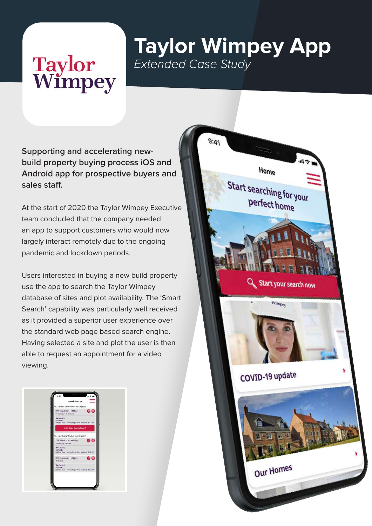## **Taylor<br>Wimpey**

## **Taylor Wimpey App** *Extended Case Study*

**Supporting and accelerating newbuild property buying process iOS and Android app for prospective buyers and sales staff.**

At the start of 2020 the Taylor Wimpey Executive team concluded that the company needed an app to support customers who would now largely interact remotely due to the ongoing pandemic and lockdown periods.

Users interested in buying a new build property use the app to search the Taylor Wimpey database of sites and plot availability. The 'Smart Search' capability was particularly well received as it provided a superior user experience over the standard web page based search engine. Having selected a site and plot the user is then able to request an appointment for a video viewing.



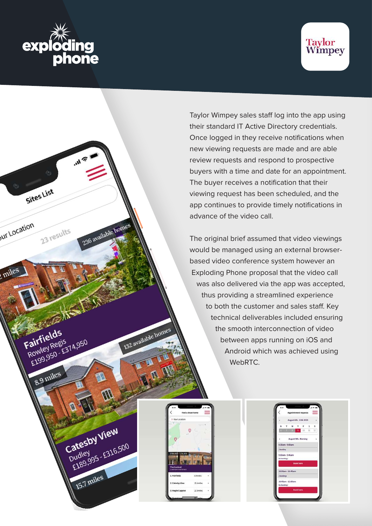

Sites List

Fairfields

**Fairfield**<br>Rowley Regis

8.9 miles

airfields<br>Rowley Regis<br>E199,950 - E374,950

Catesby View

15.7 miles

Catesby View

23 results

236 available homes

132 available homes

ur Location

miles



Taylor Wimpey sales staff log into the app using their standard IT Active Directory credentials. Once logged in they receive notifications when new viewing requests are made and are able review requests and respond to prospective buyers with a time and date for an appointment. The buyer receives a notification that their viewing request has been scheduled, and the app continues to provide timely notifications in advance of the video call.

The original brief assumed that video viewings would be managed using an external browserbased video conference system however an Exploding Phone proposal that the video call was also delivered via the app was accepted, thus providing a streamlined experience to both the customer and sales staff. Key technical deliverables included ensuring the smooth interconnection of video between apps running on iOS and Android which was achieved using WebRTC.

| O Your Location<br>-72<br>1199,950 - 1214,950 | <b>TELESCOPE</b><br><b>The Canford</b><br>2bidroom midterace | 1. Fairfields<br>8.9miles<br>2. Catesby View<br>15.6miles | 3. Maple Coppice<br>22.8miles | Find a show home |  |
|-----------------------------------------------|--------------------------------------------------------------|-----------------------------------------------------------|-------------------------------|------------------|--|
|                                               |                                                              |                                                           |                               |                  |  |
|                                               |                                                              |                                                           |                               |                  |  |
|                                               |                                                              |                                                           |                               |                  |  |
|                                               |                                                              |                                                           |                               |                  |  |

| 9(43)                                   |      |   |                  |                        |     | 49 <sub>h</sub> |  |
|-----------------------------------------|------|---|------------------|------------------------|-----|-----------------|--|
|                                         |      |   |                  | Appointment requests   |     |                 |  |
|                                         |      |   |                  | August 6th - 12th 2020 |     |                 |  |
| M                                       | т.   | w | ۳                | r.                     | s.  | s               |  |
| $\overline{H}$                          | 1200 | π | ٠                | 10.7                   | EC. | 12              |  |
| ¥.                                      |      |   |                  | August 9th - Morning   |     |                 |  |
| 8:30am - 9:00am                         |      |   |                  |                        |     |                 |  |
| I booking                               |      |   |                  |                        |     |                 |  |
| 9:00am - 9:45am<br><b>No bookings</b>   |      |   |                  |                        |     |                 |  |
|                                         |      |   | <b>Book here</b> |                        |     |                 |  |
| 10:00am - 10:45am                       |      |   |                  |                        |     |                 |  |
| 2 bookings                              |      |   |                  |                        |     |                 |  |
| 10-45am - 12:00am<br><b>No Bookings</b> |      |   |                  |                        |     |                 |  |
|                                         |      |   | <b>Book here</b> |                        |     |                 |  |